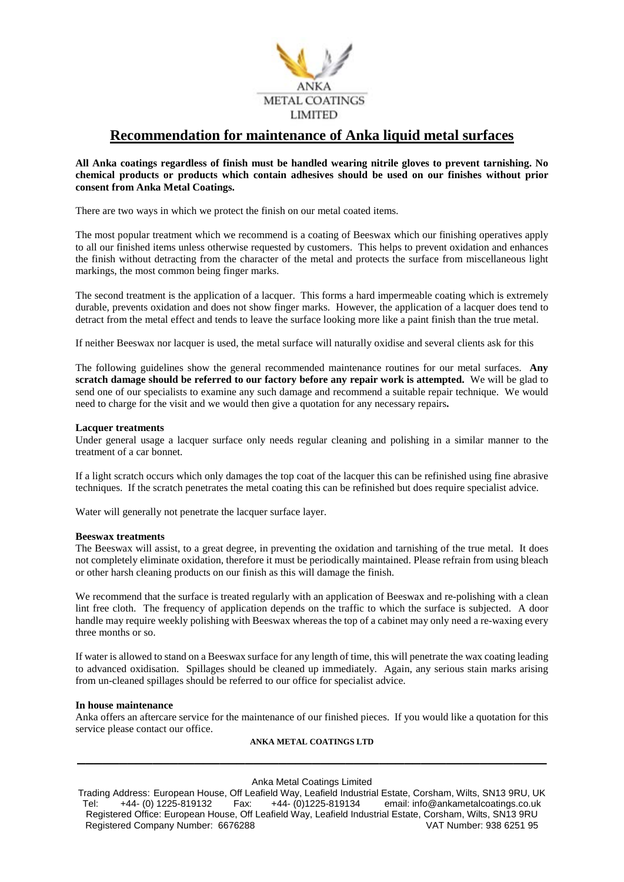

# **Recommendation for maintenance of Anka liquid metal surfaces**

## **All Anka coatings regardless of finish must be handled wearing nitrile gloves to prevent tarnishing. No chemical products or products which contain adhesives should be used on our finishes without prior consent from Anka Metal Coatings.**

There are two ways in which we protect the finish on our metal coated items.

The most popular treatment which we recommend is a coating of Beeswax which our finishing operatives apply to all our finished items unless otherwise requested by customers. This helps to prevent oxidation and enhances the finish without detracting from the character of the metal and protects the surface from miscellaneous light markings, the most common being finger marks.

The second treatment is the application of a lacquer. This forms a hard impermeable coating which is extremely durable, prevents oxidation and does not show finger marks. However, the application of a lacquer does tend to detract from the metal effect and tends to leave the surface looking more like a paint finish than the true metal.

If neither Beeswax nor lacquer is used, the metal surface will naturally oxidise and several clients ask for this

The following guidelines show the general recommended maintenance routines for our metal surfaces. **Any scratch damage should be referred to our factory before any repair work is attempted.** We will be glad to send one of our specialists to examine any such damage and recommend a suitable repair technique. We would need to charge for the visit and we would then give a quotation for any necessary repairs**.**

### **Lacquer treatments**

Under general usage a lacquer surface only needs regular cleaning and polishing in a similar manner to the treatment of a car bonnet.

If a light scratch occurs which only damages the top coat of the lacquer this can be refinished using fine abrasive techniques. If the scratch penetrates the metal coating this can be refinished but does require specialist advice.

Water will generally not penetrate the lacquer surface layer.

#### **Beeswax treatments**

The Beeswax will assist, to a great degree, in preventing the oxidation and tarnishing of the true metal. It does not completely eliminate oxidation, therefore it must be periodically maintained. Please refrain from using bleach or other harsh cleaning products on our finish as this will damage the finish.

We recommend that the surface is treated regularly with an application of Beeswax and re-polishing with a clean lint free cloth. The frequency of application depends on the traffic to which the surface is subjected. A door handle may require weekly polishing with Beeswax whereas the top of a cabinet may only need a re-waxing every three months or so.

If water is allowed to stand on a Beeswax surface for any length of time, this will penetrate the wax coating leading to advanced oxidisation. Spillages should be cleaned up immediately. Again, any serious stain marks arising from un-cleaned spillages should be referred to our office for specialist advice.

#### **In house maintenance**

Anka offers an aftercare service for the maintenance of our finished pieces. If you would like a quotation for this service please contact our office.

## **ANKA METAL COATINGS LTD \_\_\_\_\_\_\_\_\_\_\_\_\_\_\_\_\_\_\_\_\_\_\_\_\_\_\_\_\_\_\_\_\_\_\_\_\_\_\_\_\_\_\_\_\_\_\_\_\_\_\_\_\_\_\_\_**

#### Anka Metal Coatings Limited

Trading Address: European House, Off Leafield Way, Leafield Industrial Estate, Corsham, Wilts, SN13 9RU, UK Tel: +44- (0) 1225-819132 Fax: +44- (0)1225-819134 email: info@ankametalcoatings.co.uk Registered Office: European House, Off Leafield Way, Leafield Industrial Estate, Corsham, Wilts, SN13 9RU Registered Company Number: 6676288 VAT Number: 938 6251 95